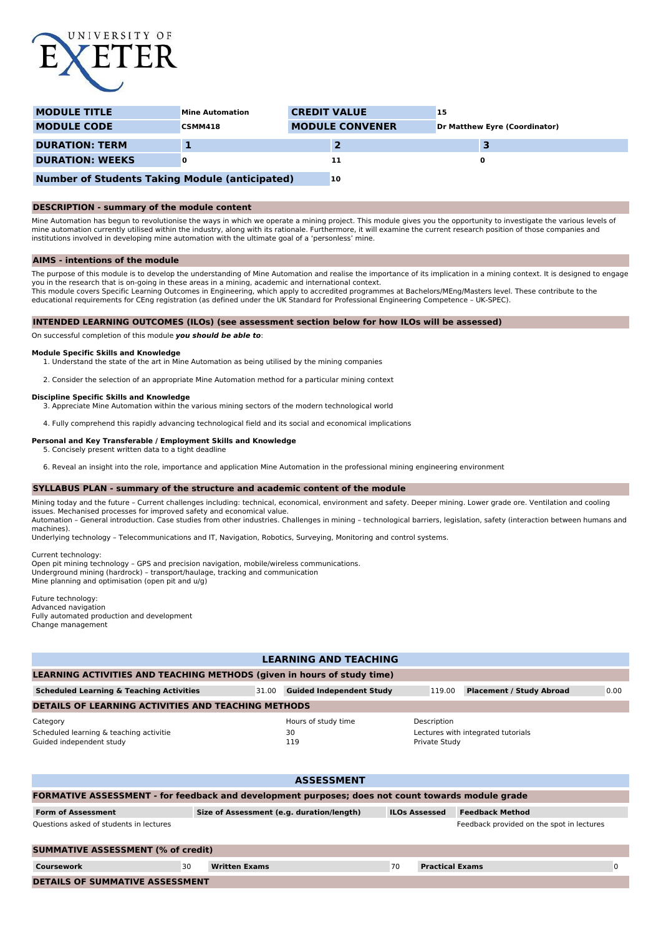

| <b>MODULE TITLE</b>                                   | <b>Mine Automation</b> | <b>CREDIT VALUE</b>    | 15                                   |  |
|-------------------------------------------------------|------------------------|------------------------|--------------------------------------|--|
| <b>MODULE CODE</b>                                    | <b>CSMM418</b>         | <b>MODULE CONVENER</b> | <b>Dr Matthew Eyre (Coordinator)</b> |  |
| <b>DURATION: TERM</b>                                 |                        |                        |                                      |  |
| <b>DURATION: WEEKS</b>                                |                        | 11                     | 0                                    |  |
| <b>Number of Students Taking Module (anticipated)</b> |                        | <b>10</b>              |                                      |  |

# **DESCRIPTION - summary of the module content**

Mine Automation has begun to revolutionise the ways in which we operate a mining project. This module gives you the opportunity to investigate the various levels of mine automation currently utilised within the industry, along with its rationale. Furthermore, it will examine the current research position of those companies and institutions involved in developing mine automation with the ultimate goal of a 'personless' mine.

### **AIMS - intentions of the module**

The purpose of this module is to develop the understanding of Mine Automation and realise the importance of its implication in a mining context. It is designed to engage you in the research that is on-going in these areas in a mining, academic and international context.<br>This module covers Specific Learning Outcomes in Engineering, which apply to accredited programmes at Bachelors/MEng/Mast

educational requirements for CEng registration (as defined under the UK Standard for Professional Engineering Competence – UK-SPEC).

## **INTENDED LEARNING OUTCOMES (ILOs) (see assessment section below for how ILOs will be assessed)**

On successful completion of this module **you should be able to**:

#### **Module Specific Skills and Knowledge**

- 1. Understand the state of the art in Mine Automation as being utilised by the mining companies
- 2. Consider the selection of an appropriate Mine Automation method for a particular mining context

## **Discipline Specific Skills and Knowledge**

3. Appreciate Mine Automation within the various mining sectors of the modern technological world

4. Fully comprehend this rapidly advancing technological field and its social and economical implications

### **Personal and Key Transferable / Employment Skills and Knowledge**

- 5. Concisely present written data to a tight deadline
- 6. Reveal an insight into the role, importance and application Mine Automation in the professional mining engineering environment

#### **SYLLABUS PLAN - summary of the structure and academic content of the module**

Mining today and the future – Current challenges including: technical, economical, environment and safety. Deeper mining. Lower grade ore. Ventilation and cooling issues. Mechanised processes for improved safety and economical value.

Automation – General introduction. Case studies from other industries. Challenges in mining – technological barriers, legislation, safety (interaction between humans and machines).

Underlying technology – Telecommunications and IT, Navigation, Robotics, Surveying, Monitoring and control systems.

Current technology:

Open pit mining technology – GPS and precision navigation, mobile/wireless communications. Underground mining (hardrock) – transport/haulage, tracking and communication Mine planning and optimisation (open pit and u/g)

Future technology: Advanced navigation Fully automated production and development Change management

| <b>LEARNING AND TEACHING</b>                                                    |       |                                  |                              |                                    |      |  |
|---------------------------------------------------------------------------------|-------|----------------------------------|------------------------------|------------------------------------|------|--|
| LEARNING ACTIVITIES AND TEACHING METHODS (given in hours of study time)         |       |                                  |                              |                                    |      |  |
| <b>Scheduled Learning &amp; Teaching Activities</b>                             | 31.00 | <b>Guided Independent Study</b>  | 119.00                       | <b>Placement / Study Abroad</b>    | 0.00 |  |
| <b>DETAILS OF LEARNING ACTIVITIES AND TEACHING METHODS</b>                      |       |                                  |                              |                                    |      |  |
| Category<br>Scheduled learning & teaching activitie<br>Guided independent study |       | Hours of study time<br>30<br>119 | Description<br>Private Study | Lectures with integrated tutorials |      |  |
|                                                                                 |       |                                  |                              |                                    |      |  |

| <b>ASSESSMENT</b>                                                                                        |    |                                           |    |                        |                        |   |  |
|----------------------------------------------------------------------------------------------------------|----|-------------------------------------------|----|------------------------|------------------------|---|--|
| <b>FORMATIVE ASSESSMENT - for feedback and development purposes; does not count towards module grade</b> |    |                                           |    |                        |                        |   |  |
| <b>Form of Assessment</b>                                                                                |    | Size of Assessment (e.g. duration/length) |    | <b>ILOs Assessed</b>   | <b>Feedback Method</b> |   |  |
| Questions asked of students in lectures<br>Feedback provided on the spot in lectures                     |    |                                           |    |                        |                        |   |  |
| <b>SUMMATIVE ASSESSMENT (% of credit)</b>                                                                |    |                                           |    |                        |                        |   |  |
| Coursework                                                                                               | 30 | <b>Written Exams</b>                      | 70 | <b>Practical Exams</b> |                        | 0 |  |
| <b>DETAILS OF SUMMATIVE ASSESSMENT</b>                                                                   |    |                                           |    |                        |                        |   |  |